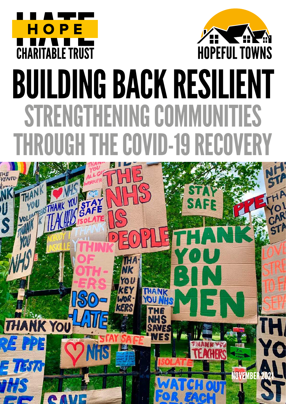



# BUILDING BACK RESILIENT STRENGTHENING COMMUNITIES ROUGH THE COVID-19 RECOVE

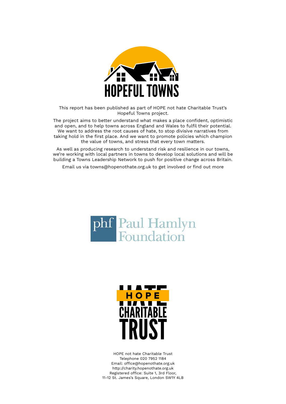

This report has been published as part of HOPE not hate Charitable Trust's Hopeful Towns project.

The project aims to better understand what makes a place confident, optimistic and open, and to help towns across England and Wales to fulfil their potential. We want to address the root causes of hate, to stop divisive narratives from taking hold in the first place. And we want to promote policies which champion the value of towns, and stress that every town matters.

As well as producing research to understand risk and resilience in our towns, we're working with local partners in towns to develop local solutions and will be building a Towns Leadership Network to push for positive change across Britain.

Email us via towns@hopenothate.org.uk to get involved or find out more





HOPE not hate Charitable Trust Telephone 020 7952 1184 Email: office@hopenothate.org.uk http://charity.hopenothate.org.uk Registered office: Suite 1, 3rd Floor, 11-12 St. James's Square, London SW1Y 4LB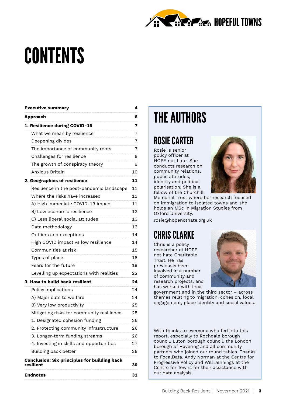

## **CONTENTS**

| <b>Executive summary</b>                                         | 4  |
|------------------------------------------------------------------|----|
| <b>Approach</b>                                                  | 6  |
| 1. Resilience during COVID-19                                    | 7  |
| What we mean by resilience                                       | 7  |
| Deepening divides                                                | 7  |
| The importance of community roots                                | 7  |
| Challenges for resilience                                        | 8  |
| The growth of conspiracy theory                                  | 9  |
| Anxious Britain                                                  | 10 |
| 2. Geographies of resilience                                     | 11 |
| Resilience in the post-pandemic landscape                        | 11 |
| Where the risks have increased                                   | 11 |
| A) High immediate COVID-19 impact                                | 11 |
| B) Low economic resilience                                       | 12 |
| C) Less liberal social attitudes                                 | 13 |
| Data methodology                                                 | 13 |
| Outliers and exceptions                                          | 14 |
| High COVID impact vs low resilience                              | 14 |
| Communities at risk                                              | 15 |
| Types of place                                                   | 18 |
| Fears for the future                                             | 19 |
| Levelling up expectations with realities                         | 22 |
| 3. How to build back resilient                                   | 24 |
| Policy implications                                              | 24 |
| A) Major cuts to welfare                                         | 24 |
| B) Very low productivity                                         | 25 |
| Mitigating risks for community resilience                        | 25 |
| 1. Designated cohesion funding                                   | 26 |
| 2. Protecting community infrastructure                           | 26 |
| 3. Longer-term funding streams                                   | 26 |
| 4. Investing in skills and opportunities                         | 27 |
| Building back better                                             | 28 |
| <b>Conclusion: Six principles for building back</b><br>resilient | 30 |
| Endnotes                                                         | 31 |
|                                                                  |    |

### THE AUTHORS

### ROSIE CARTER

Rosie is senior policy officer at HOPE not hate. She conducts research on community relations, public attitudes, identity and political polarisation. She is a fellow of the Churchill



Memorial Trust where her research focused on immigration to isolated towns and she holds an MSc in Migration Studies from Oxford University.

rosie@hopenothate.org.uk

### CHRIS CLARKE

Chris is a policy researcher at HOPE not hate Charitable Trust. He has previously been involved in a number of community and research projects, and has worked with local



government and in the third sector – across themes relating to migration, cohesion, local engagement, place identity and social values.

With thanks to everyone who fed into this report, especially to Rochdale borough council, Luton borough council, the London borough of Havering and all community partners who joined our round tables. Thanks to FocalData, Andy Norman at the Centre for Progressive Policy and Will Jennings at the Centre for Towns for their assistance with our data analysis.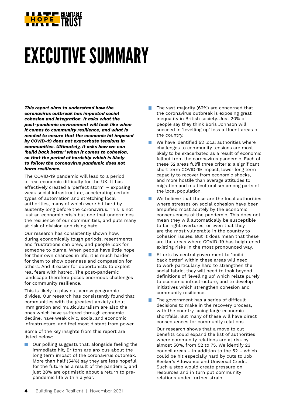

## EXECUTIVE SUMMARY

*This report aims to understand how the coronavirus outbreak has impacted social cohesion and integration. It asks what the post-pandemic environment will look like when it comes to community resilience, and what is needed to ensure that the economic hit imposed by COVID-19 does not exacerbate tensions in communities. Ultimately, it asks how we can 'build back better' when it comes to cohesion, so that the period of hardship which is likely to follow the coronavirus pandemic does not harm resilience.*

The COVID-19 pandemic will lead to a period of real economic difficulty for the UK. It has effectively created a 'perfect storm' – exposing weak social infrastructure, accelerating certain types of automation and stretching local authorities, many of which were hit hard by austerity long before the coronavirus. This is not just an economic crisis but one that undermines the resilience of our communities, and puts many at risk of division and rising hate.

Our research has consistently shown how, during economically tough periods, resentments and frustrations can brew, and people look for someone to blame. When people have little hope for their own chances in life, it is much harder for them to show openness and compassion for others. And it easier for opportunists to exploit real fears with hatred. The post-pandemic landscape therefore poses enormous challenges for community resilience.

This is likely to play out across geographic divides. Our research has consistently found that communities with the greatest anxiety about immigration and multiculturalism are also the ones which have suffered through economic decline, have weak civic, social and economic infrastructure, and feel most distant from power.

Some of the key insights from this report are listed below:

 Our polling suggests that, alongside feeling the immediate hit, Britons are anxious about the long term impact of the coronavirus outbreak. More than half (54%) say they are less hopeful for the future as a result of the pandemic, and just 28% are optimistic about a return to prepandemic life within a year.

- The vast majority (62%) are concerned that the coronavirus outbreak is exposing great inequality in British society. Just 20% of people say they think Boris Johnson will succeed in 'levelling up' less affluent areas of the country.
- We have identified 52 local authorities where challenges to community tensions are most likely to be exacerbated as a result of economic fallout from the coronavirus pandemic. Each of these 52 areas fulfil three criteria: a significant short term COVID-19 impact, lower long term capacity to recover from economic shocks, and more hostile than average attitudes to migration and multiculturalism among parts of the local population.
- We believe that these are the local authorities where stresses on social cohesion have been amplified most acutely by the economic consequences of the pandemic. This does not mean they will automatically be susceptible to far right overtures, or even that they are the most vulnerable in the country to cohesion issues. But it does mean that these are the areas where COVID-19 has heightened existing risks in the most pronounced way.
- Efforts by central government to 'build back better' within these areas will need to work particularly hard to strengthen the social fabric; they will need to look beyond definitions of 'levelling up' which relate purely to economic infrastructure, and to develop initiatives which strengthen cohesion and community resilience.
- The government has a series of difficult decisions to make in the recovery process, with the country facing large economic shortfalls. But many of these will have direct consequences for community relations.

 Our research shows that a move to cut benefits could expand the list of authorities where community relations are at risk by almost 50%, from 52 to 75. We identify 23 council areas – in addition to the 52 – which could be hit especially hard by cuts to Job Seeker's Allowance and Universal Credit. Such a step would create pressure on resources and in turn put community relations under further strain.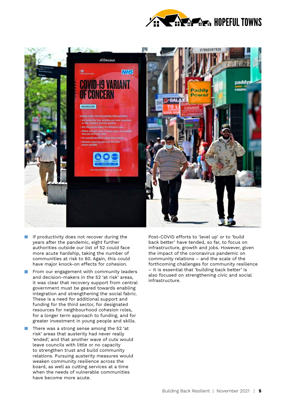



- If productivity does not recover during the years after the pandemic, eight further authorities outside our list of 52 could face more acute hardship, taking the number of communities at risk to 60. Again, this could have major knock-on effects for cohesion.
- $\blacksquare$  From our engagement with community leaders and decision-makers in the 52 'at risk' areas, it was clear that recovery support from central government must be geared towards enabling integration and strengthening the social fabric. These is a need for additional support and funding for the third sector, for designated resources for neighbourhood cohesion roles, for a longer term approach to funding, and for greater investment in young people and skills.
- There was a strong sense among the 52 'at risk' areas that austerity had never really 'ended', and that another wave of cuts would leave councils with little or no capacity to strengthen trust and build community relations. Pursuing austerity measures would weaken community resilience across the board, as well as cutting services at a time when the needs of vulnerable communities have become more acute.

Post-COVID efforts to 'level up' or to 'build back better' have tended, so far, to focus on infrastructure, growth and jobs. However, given the impact of the coronavirus pandemic on community relations – and the scale of the forthcoming challenges for community resilience – it is essential that 'building back better' is also focused on strengthening civic and social infrastructure.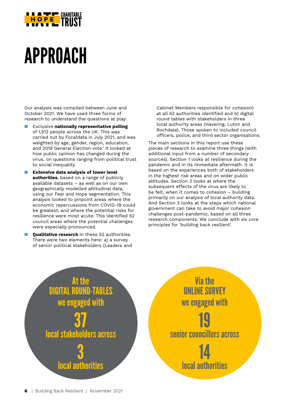

### APPROACH

Our analysis was compiled between June and October 2021. We have used three forms of research to understand the questions at play:

- Exclusive **nationally representative polling** of 1,512 people across the UK. This was carried out by Focaldata in July 2021, and was weighted by age, gender, region, education, and 2019 General Election vote.' It looked at how public opinion has changed during the virus, on questions ranging from political trust to social inequality.
- **Extensive data analysis of lower level authorities**, based on a range of publicly available datasets – as well as on our own geographically modelled attitudinal data, using our Fear and Hope segmentation. This analysis looked to pinpoint areas where the economic repercussions from COVID-19 could be greatest, and where the potential risks for resilience were most acute. This identified 52 council areas where the potential challenges were especially pronounced.
- **Qualitative research** in these 52 authorities. There were two elements here: a) a survey of senior political stakeholders (Leaders and

Cabinet Members responsible for cohesion) at all 52 authorities identified and b) digital round tables with stakeholders in three local authority areas (Havering, Luton and Rochdale). Those spoken to included council officers, police, and third sector organisations.

The main sections in this report use these pieces of research to examine three things (with additional input from a number of secondary sources). Section 1 looks at resilience during the pandemic and in its immediate aftermath. It is based on the experiences both of stakeholders in the highest risk areas and on wider public attitudes. Section 2 looks at where the subsequent effects of the virus are likely to be felt, when it comes to cohesion – building primarily on our analysis of local authority data. And Section 3 looks at the steps which national government can take to avoid major cohesion challenges post-pandemic, based on all three research components. We conclude with six core principles for 'building back resilient'.



**Via the** ONLINE SURVEY we engaged with 19 senior councillors across 14 local authorities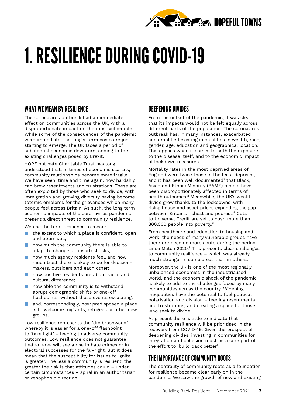

## 1. RESILIENCE DURING COVID-19

#### WHAT WE MEAN BY RESILIENCE

The coronavirus outbreak had an immediate effect on communities across the UK, with a disproportionate impact on the most vulnerable. While some of the consequences of the pandemic were immediate, the longer term costs are just starting to emerge. The UK faces a period of substantial economic downturn, adding to the existing challenges posed by Brexit.

HOPE not hate Charitable Trust has long understood that, in times of economic scarcity, community relationships become more fragile. We have seen, time and time again, how hardship can brew resentments and frustrations. These are often exploited by those who seek to divide, with immigration and growing diversity having become totemic emblems for the grievances which many people feel across Britain. As such, the long term economic impacts of the coronavirus pandemic present a direct threat to community resilience.

We use the term resilience to mean:

- the extent to which a place is confident, open and optimistic;
- how much the community there is able to adapt to change or absorb shocks;
- how much agency residents feel, and how much trust there is likely to be for decisionmakers, outsiders and each other;
- how positive residents are about racial and cultural difference;
- how able the community is to withstand abrupt demographic shifts or one-off flashpoints, without these events escalating;
- and, correspondingly, how predisposed a place is to welcome migrants, refugees or other new groups.

Low resilience represents the 'dry brushwood', whereby it is easier for a one-off flashpoint to 'take light' – leading to adverse community outcomes. Low resilience does not guarantee that an area will see a rise in hate crimes or in electoral successes for the far-right. But it does mean that the susceptibility for issues to ignite is greater. The less a community is resilient, the greater the risk is that attitudes could – under certain circumstances – spiral in an authoritarian or xenophobic direction.

#### DEEPENING DIVIDES

From the outset of the pandemic, it was clear that its impacts would not be felt equally across different parts of the population. The coronavirus outbreak has, in many instances, exacerbated and amplified existing inequalities in wealth, race, gender, age, education and geographical location. This applies when it comes to both the exposure to the disease itself, and to the economic impact of lockdown measures.

Mortality rates in the most deprived areas of England were twice those in the least deprived, and it has been well documented<sup>2</sup> that Black, Asian and Ethnic Minority (BAME) people have been disproportionately affected in terms of health outcomes.<sup>3</sup> Meanwhile, the UK's wealth divide grew thanks to the lockdowns, with rising house and asset prices expanding the gap between Britain's richest and poorest.4 Cuts to Universal Credit are set to push more than 800,000 people into poverty.5

From healthcare and education to housing and work, the needs of many vulnerable groups have therefore become more acute during the period since Match 2020.<sup>6</sup> This presents clear challenges to community resilience – which was already much stronger in some areas than in others.

Moreover, the UK is one of the most regionally unbalanced economies in the industrialised world, and the economic shock of the pandemic is likely to add to the challenges faced by many communities across the country. Widening inequalities have the potential to fuel political polarisation and division – feeding resentments and frustrations, and creating a space for those who seek to divide.

At present there is little to indicate that community resilience will be prioritised in the recovery from COVID-19. Given the prospect of deepening divides, investing in communities for integration and cohesion must be a core part of the effort to 'build back better'.

#### THE IMPORTANCE OF COMMUNITY ROOTS

The centrality of community roots as a foundation for resilience became clear early on in the pandemic. We saw the growth of new and existing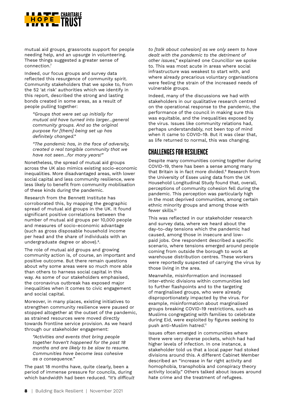

mutual aid groups, grassroots support for people needing help, and an upsurge in volunteering. These things suggested a greater sense of connection.7

Indeed, our focus groups and survey data reflected this resurgence of community spirit. Community stakeholders that we spoke to, from the 52 'at risk' authorities which we identify in this report, described the strong and lasting bonds created in some areas, as a result of people pulling together:

*"Groups that were set up initially for mutual aid have turned into larger…general community groups. And so the original purpose for [them] being set up has definitely changed."*

*"The pandemic has, in the face of adversity, created a real tangible community that we have not seen…for many years!"*

Nonetheless, the spread of mutual aid groups across the UK also mimics existing socio-economic inequalities. More disadvantaged areas, with lower social capital and less community resilience, were less likely to benefit from community mobilisation of these kinds during the pandemic.

Research from the Bennett Institute has corroborated this, by mapping the geographic spread of mutual aid groups in the UK. It found significant positive correlations between the number of mutual aid groups per 10,000 people and measures of socio-economic advantage (such as gross disposable household income per head and the share of individuals with an undergraduate degree or above).<sup>8</sup>.

The role of mutual aid groups and growing community action is, of course, an important and positive outcome. But there remain questions about why some areas were so much more able than others to harness social capital in this way. As some of our stakeholders emphasised, the coronavirus outbreak has exposed major inequalities when it comes to civic engagement and social capital.

Moreover, in many places, existing initiatives to strengthen community resilience were paused or stopped altogether at the outset of the pandemic, as strained resources were moved directly towards frontline service provision. As we heard through our stakeholder engagement:

*"Activities and events that bring people together haven't happened for the past 18 months and are likely to be slow to resume. Communities have become less cohesive as a consequence."*

The past 18 months have, quite clearly, been a period of immense pressure for councils, during which bandwidth had been reduced. *"It's difficult* 

*to [talk about cohesion] as we only seem to have dealt with the pandemic to the detriment of other issues,"* explained one Councillor we spoke to. This was most acute in areas where social infrastructure was weakest to start with, and where already precarious voluntary organisations were feeling the strain of the increased needs of vulnerable groups.

Indeed, many of the discussions we had with stakeholders in our qualitative research centred on the operational response to the pandemic, the performance of the council in making sure this was equitable, and the inequalities exposed by the virus. Issues like community relations had, perhaps understandably, not been top of mind when it came to COVID-19. But it was clear that, as life returned to normal, this was changing.

#### CHALLENGES FOR RESILIENCE

Despite many communities coming together during COVID-19, there has been a sense among many that Britain is in fact more divided.<sup>9</sup> Research from the University of Essex using data from the UK Household Longitudinal Study found that, overall, perceptions of community cohesion fell during the pandemic. This perception was particularly high in the most deprived communities, among certain ethnic minority groups and among those with fewer skills.10

This was reflected in our stakeholder research and survey data, where we heard about the day-to-day tensions which the pandemic had caused, among those in insecure and lowpaid jobs. One respondent described a specific scenario, where tensions emerged around people coming from outside the borough to work at warehouse distribution centres. These workers were reportedly suspected of carrying the virus by those living in the area.

Meanwhile, misinformation and increased inter-ethnic divisions within communities led to further flashpoints and to the targeting of marginalised groups, who were already disproportionately impacted by the virus. For example, misinformation about marginalised groups breaking COVID-19 restrictions, such as Muslims congregating with families to celebrate during Eid, were exploited by figures seeking to push anti-Muslim hatred.<sup>11</sup>

Issues often emerged in communities where there were very diverse pockets, which had had higher levels of infection. In one instance, a stakeholder told us that a local paper had stoked divisions around this. A different Cabinet Member described an "increase in far right activity and homophobia, transphobia and conspiracy theory activity locally." Others talked about issues around hate crime and the treatment of refugees.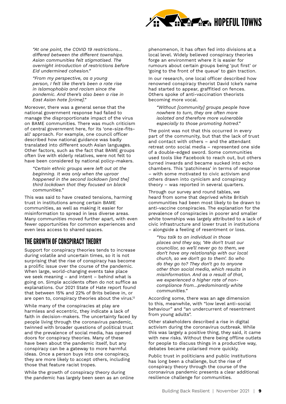

*"At one point, the COVID 19 restrictions… differed between the different townships. Asian communities felt stigmatised. The overnight introduction of restrictions before Eid undermined cohesion."*

*"From my perspective, as a young person, I felt like there's been a rate rise in Islamophobia and racism since the pandemic. And there's also been a rise in East Asian hate [crime]."*

Moreover, there was a general sense that the national government response had failed to manage the disproportionate impact of the virus on BAME communities. There was much criticism of central government here, for its 'one-size-fitsall' approach. For example, one council officer described how national guidance was badly translated into different south Asian languages. Other factors, such as the fact that BAME groups often live with elderly relatives, were not felt to have been considered by national policy-makers.

*"Certain ethnic groups were left out at the beginning. It was only when the uproar happened in the second lockdown [and the] third lockdown that they focused on black communities."*

This was said to have created tensions, harming trust in institutions among certain BAME communities, as well as making it easier for misinformation to spread in less diverse areas. Many communities moved further apart, with even fewer opportunities for common experiences and even less access to shared spaces.

#### THE GROWTH OF CONSPIRACY THEORY

Support for conspiracy theories tends to increase during volatile and uncertain times, so it is not surprising that the rise of conspiracy has become a prolific issue over the course of the pandemic. When large, world-changing events take place we seek meaning – and intent – behind what is going on. Simple accidents often do not suffice as explanations. Our 2021 State of Hate report found that between 15% and 22% of Brits believe in, or are open to, conspiracy theories about the virus.<sup>12</sup>

While many of the conspiracies at play are harmless and eccentric, they indicate a lack of faith in decision-makers. The uncertainty faced by people living through the coronavirus pandemic, twinned with broader questions of political trust and the prevalence of social media, has opened doors for conspiracy theories. Many of these have been about the pandemic itself, but any conspiracy can be a gateway to more harmful ideas. Once a person buys into one conspiracy, they are more likely to accept others, including those that feature racist tropes.

While the growth of conspiracy theory during the pandemic has largely been seen as an online

phenomenon, it has often fed into divisions at a local level. Widely believed conspiracy theories forge an environment where it is easier for rumours about certain groups being 'put first' or 'going to the front of the queue' to gain traction.

In our research, one local officer described how renowned conspiracy theorist David Icke's name had started to appear, graffitied on fences. Others spoke of anti-vaccination theorists becoming more vocal.

*"Without [community] groups people have nowhere to turn, they are often more isolated and therefore more vulnerable especially to those promoting hatred."*

The point was not that this occurred in every part of the community, but that the lack of trust and contact with others – and the attendant retreat onto social media – represented one side of a double-edged sword. Some communities used tools like Facebook to reach out, but others turned inwards and became sucked into echo chambers. This 'patchiness' in terms of response – with some motivated to civic activism and others drawn into cynicism and conspiracy theory – was reported in several quarters.

Through our survey and round tables, we heard from some that deprived white British communities had been most likely to be drawn to anti-vaccine conspiracies. The explanation for the prevalence of conspiracies in poorer and smaller white townships was largely attributed to a lack of civic infrastructure and lower trust in institutions – alongside a feeling of resentment or loss.

*"You talk to an individual in those places and they say, 'We don't trust our councillor, so we'll never go to them, we don't have any relationship with our local church, so we don't go to them'. So who do they go to? They don't go to anyone other than social media, which results in misinformation. And as a result of that, we experienced a higher rate of noncompliance from…predominantly white communities."*

According some, there was an age dimension to this, meanwhile, with "low level anti-social behaviour" and "an undercurrent of resentment from young adults".

Other stakeholders described a rise in digital activism during the coronavirus outbreak. While this was largely a positive thing, they said, it came with new risks. Without there being offline outlets for people to discuss things in a productive way, debates became polarised more quickly.

Public trust in politicians and public institutions has long been a challenge, but the rise of conspiracy theory through the course of the coronavirus pandemic presents a clear additional resilience challenge for communities.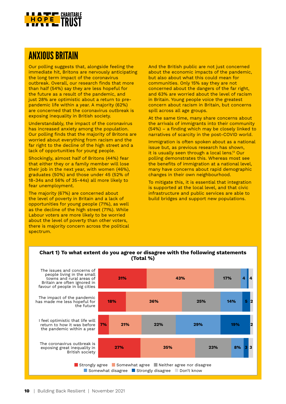

#### **ANXIOUS BRITAIN**

Our polling suggests that, alongside feeling the immediate hit, Britons are nervously anticipating the long term impact of the coronavirus outbreak. Overall, our research finds that more than half (54%) say they are less hopeful for the future as a result of the pandemic, and just 28% are optimistic about a return to prepandemic life within a year. A majority (62%) are concerned that the coronavirus outbreak is exposing inequality in British society.

Understandably, the impact of the coronavirus has increased anxiety among the population. Our polling finds that the majority of Britons are worried about everything from racism and the far right to the decline of the high street and a lack of opportunities for young people.

Shockingly, almost half of Britons (44%) fear that either they or a family member will lose their job in the next year, with women (46%), graduates (50%) and those under 45 (52% of 18-34s and 56% of 35-44s) all more likely to fear unemployment.

The majority (67%) are concerned about the level of poverty in Britain and a lack of opportunities for young people (71%), as well as the decline of the high street (71%). While Labour voters are more likely to be worried about the level of poverty than other voters, there is majority concern across the political spectrum.

And the British public are not just concerned about the economic impacts of the pandemic, but also about what this could mean for communities. Only 15% say they are not concerned about the dangers of the far right, and 63% are worried about the level of racism in Britain. Young people voice the greatest concern about racism in Britain, but concerns spill across all age groups.

At the same time, many share concerns about the arrivals of immigrants into their community (54%) – a finding which may be closely linked to narratives of scarcity in the post-COVID world.

Immigration is often spoken about as a national issue but, as previous research has shown, it is usually seen through a local lens.<sup>13</sup> Our polling demonstrates this. Whereas most see the benefits of immigration at a national level, many have concerns about rapid demographic changes in their own neighbourhood.

To mitigate this, it is essential that integration is supported at the local level, and that civic infrastructure and public services are able to build bridges and support new populations.



#### **Chart 1) To what extent do you agree or disagree with the following statements (Total %)**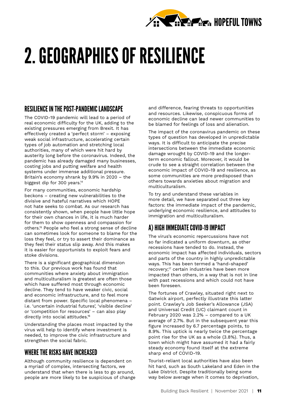

## 2. GEOGRAPHIES OF RESILIENCE

#### RESILIENCE IN THE POST-PANDEMIC LANDSCAPE

The COVID-19 pandemic will lead to a period of real economic difficulty for the UK, adding to the existing pressures emerging from Brexit. It has effectively created a 'perfect storm' – exposing weak social infrastructure, accelerating certain types of job automation and stretching local authorities, many of which were hit hard by austerity long before the coronavirus. Indeed, the pandemic has already damaged many businesses, costing jobs and putting welfare and health systems under immense additional pressure. Britain's economy shrank by 9.9% in 2020 – the biggest dip for 300 years.14

For many communities, economic hardship beckons – creating new vulnerabilities to the divisive and hateful narratives which HOPE not hate seeks to combat. As our research has consistently shown, when people have little hope for their own chances in life, it is much harder for them to show openness and compassion for others.15 People who feel a strong sense of decline can sometimes look for someone to blame for the loss they feel, or try to assert their dominance as they feel their status slip away. And this makes it is easier for opportunists to exploit fears and stoke divisions.

There is a significant geographical dimension to this. Our previous work has found that communities where anxiety about immigration and multiculturalism is greatest are often those which have suffered most through economic decline. They tend to have weaker civic, social and economic infrastructure, and to feel more distant from power. Specific local phenomena – i.e. 'uncertain industrial futures', 'visible decline' or 'competition for resources' – can also play directly into social attitudes.<sup>16</sup>

Understanding the places most impacted by the virus will help to identify where investment is needed, to improve the civic infrastructure and strengthen the social fabric.

#### WHERE THE RISKS HAVE INCREASED

Although community resilience is dependent on a myriad of complex, intersecting factors, we understand that when there is less to go around, people are more likely to be suspicious of change and difference, fearing threats to opportunities and resources. Likewise, conspicuous forms of economic decline can lead newer communities to be blamed for feelings of loss and alienation.

The impact of the coronavirus pandemic on these types of question has developed in unpredictable ways. It is difficult to anticipate the precise intersections between the immediate economic damage wrought by COVID-19 and the longerterm economic fallout. Moreover, it would be crude to see a straight correlation between the economic impact of COVID-19 and resilience, as some communities are more predisposed than others towards anxieties about migration and multiculturalism.

To try and understand these variables in more detail, we have separated out three key factors: the immediate impact of the pandemic, underlying economic resilience, and attitudes to immigration and multiculturalism.

#### A) HIGH IMMEDIATE COVID-19 IMPACT

The virus's economic repercussions have not so far indicated a uniform downturn, as other recessions have tended to do. Instead, the economic impact has affected individuals, sectors and parts of the country in highly unpredictable ways. This has been termed a 'hand-shaped' recovery;<sup>17</sup> certain industries have been more impacted than others, in a way that is not in line with past recessions and which could not have been foreseen.

The fortunes of Crawley, situated right next to Gatwick airport, perfectly illustrate this latter point. Crawley's Job Seeker's Allowance (JSA) and Universal Credit (UC) claimant count in February 2020 was 2.2% – compared to a UK average of 2.7%. But in the subsequent year this figure increased by 6.7 percentage points, to 8.9%. This uptick is nearly twice the percentage point rise for the UK as a whole (3.8%). Thus, a town which might have assumed it had a fairly steady economy found itself at the extreme sharp end of COVID-19.

Tourist-reliant local authorities have also been hit hard, such as South Lakeland and Eden in the Lake District. Despite traditionally being some way below average when it comes to deprivation,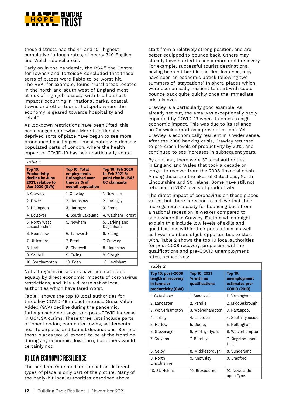

these districts had the 4<sup>th</sup> and 10<sup>th</sup> highest cumulative furlough rates, of nearly 340 English and Welsh council areas.

Early on in the pandemic, the RSA,<sup>18</sup> the Centre for Towns<sup>19</sup> and Tortoise<sup>20</sup> concluded that these sorts of places were liable to be worst hit. The RSA, for example, found "rural areas located in the north and south west of England most at risk of high job losses," with the harshest impacts occurring in "national parks, coastal towns and other tourist hotspots where the economy is geared towards hospitality and retail."

As lockdown restrictions have been lifted, this has changed somewhat. More traditionally deprived sorts of place have begun to see more pronounced challenges – most notably in densely populated parts of London, where the health impact of COVID-19 has been particularly acute.

| Table 1                                                                                                |                                                                                       |                                                                                       |  |  |  |
|--------------------------------------------------------------------------------------------------------|---------------------------------------------------------------------------------------|---------------------------------------------------------------------------------------|--|--|--|
| <b>Top 10:</b><br><b>Productivity</b><br>decline by June<br>2021, relative to<br><b>Jan 2020 (GVA)</b> | Top 10: Total<br>employments<br>furloughed over<br>time as % of<br>overall population | <b>Top 10: Feb 2020</b><br>to Feb 2021 %<br>point rise in JSA/<br><b>UC claimants</b> |  |  |  |
| 1. Crawley                                                                                             | 1. Crawley                                                                            | 1. Newham                                                                             |  |  |  |
| 2. Dover                                                                                               | 2. Hounslow                                                                           | 2. Haringey                                                                           |  |  |  |
| 3. Hillingdon                                                                                          | 3. Haringey                                                                           | 3. Brent                                                                              |  |  |  |
| 4. Bolsover                                                                                            | 4. South Lakeland                                                                     | 4. Waltham Forest                                                                     |  |  |  |
| 5. North West<br>Leicestershire                                                                        | 5. Newham                                                                             | 5. Barking and<br>Dagenham                                                            |  |  |  |
| 6. Hounslow                                                                                            | 6. Tamworth                                                                           | 6. Ealing                                                                             |  |  |  |
| 7. Uttlesford                                                                                          | 7. Brent                                                                              | 7. Crawley                                                                            |  |  |  |
| 8. Hart                                                                                                | 8. Cherwell                                                                           | 8. Hounslow                                                                           |  |  |  |
| 9. Solihull                                                                                            | 9. Ealing                                                                             | 9. Slough                                                                             |  |  |  |
| 10. Southampton                                                                                        | 10. Eden                                                                              | 10. Lewisham                                                                          |  |  |  |

Not all regions or sectors have been affected equally by direct economic impacts of coronavirus restrictions, and it is a diverse set of local authorities which have fared worst.

Table 1 shows the top 10 local authorities for three key COVID-19 impact metrics: Gross Value Added (GVA) decline during the pandemic, furlough scheme usage, and post-COVID increase in UC/JSA claims. These three lists include parts of inner London, commuter towns, settlements near to airports, and tourist destinations. Some of these places would 'expect' to be at the frontline during any economic downturn, but others would certainly not.

#### B) LOW ECONOMIC RESILIENCE

The pandemic's immediate impact on different types of place is only part of the picture. Many of the badly-hit local authorities described above

start from a relatively strong position, and are better equipped to bounce back. Others may already have started to see a more rapid recovery. For example, successful tourist destinations, having been hit hard in the first instance, may have seen an economic uptick following two summers of 'staycations'. In short, places which were economically resilient to start with could bounce back quite quickly once the immediate crisis is over.

Crawley is a particularly good example. As already set out, the area was exceptionally badly impacted by COVID-19 when it comes to high economic impact. This was due to its reliance on Gatwick airport as a provider of jobs. Yet Crawley is economically resilient in a wider sense. After the 2008 banking crisis, Crawley returned to pre-crash levels of productivity by 2012, and continued to see increases in subsequent years.

By contrast, there were 37 local authorities in England and Wales that took a decade or longer to recover from the 2008 financial crash. Among these are the likes of Gateshead, North Lincolnshire and St Helens. Some have still not returned to 2007 levels of productivity.

The direct impact of coronavirus on these places varies, but there is reason to believe that their more general capacity for bouncing back from a national recession is weaker compared to somewhere like Crawley. Factors which might explain this include low levels of skills and qualifications within their populations, as well as lower numbers of job opportunities to start with. Table 2 shows the top 10 local authorities for post-2008 recovery, proportion with no qualifications and pre-COVID unemployment rates, respectively.

| Table 2                                                                      |                                             |                                                                         |  |  |  |
|------------------------------------------------------------------------------|---------------------------------------------|-------------------------------------------------------------------------|--|--|--|
| Top 10: post-2008<br>length of recovery<br>in terms or<br>productivity (GVA) | Top 10: 2021<br>% with no<br>qualifications | <b>Top 10:</b><br>unemployment<br>estimates pre-<br><b>COVID (2019)</b> |  |  |  |
| 1. Gateshead                                                                 | 1. Sandwell                                 | 1. Birmingham                                                           |  |  |  |
| 2. Lancaster                                                                 | 2. Pendle                                   | 2. Middlesbrough                                                        |  |  |  |
| 3. Wolverhampton                                                             | 3. Wolverhampton                            | 3. Hartlepool                                                           |  |  |  |
| 4. Torbay                                                                    | 4. Leicester                                | 4. South Tyneside                                                       |  |  |  |
| 5. Harlow                                                                    | 5. Dudley                                   | 5. Nottingham                                                           |  |  |  |
| 6. Stevenage                                                                 | 6. Merthyr Tydfil                           | 6. Wolverhampton                                                        |  |  |  |
| 7. Croydon                                                                   | 7. Burnley                                  | 7. Kingston upon<br>Hull                                                |  |  |  |
| 8. Selby                                                                     | 8. Middlesbrough                            | 8. Sunderland                                                           |  |  |  |
| 9. North<br>Lincolnshire                                                     | 9. Knowsley                                 | 9. Bradford                                                             |  |  |  |
| 10. St. Helens                                                               | 10. Broxbourne                              | 10. Newcastle<br>upon Tyne                                              |  |  |  |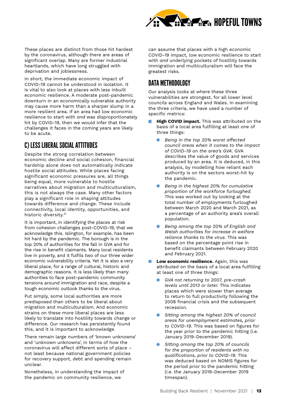

These places are distinct from those hit hardest by the coronavirus, although there are areas of significant overlap. Many are former industrial heartlands, which have long struggled with deprivation and joblessness.

In short, the immediate economic impact of COVID-19 cannot be understood in isolation. It is vital to also look at places with less inbuilt economic resilience. A moderate post-pandemic downturn in an economically vulnerable authority may cause more harm than a sharper slump in a more resilient area. If an area had low economic resilience to start with *and* was disproportionately hit by COVID-19, then we would infer that the challenges it faces in the coming years are likely to be acute.

#### C) LESS LIBERAL SOCIAL ATTITUDES

Despite the strong correlation between economic decline and social cohesion, financial hardship alone does not automatically indicate hostile social attitudes. While places facing significant economic pressures are, all things being equal, more vulnerable to hostile narratives about migration and multiculturalism, this is not always the case. Many other factors play a significant role in shaping attitudes towards difference and change. These include connectivity, local identity, opportunities, and historic diversity.<sup>21</sup>

It is important, in identifying the places at risk from cohesion challenges post-COVID-19, that we acknowledge this. Islington, for example, has been hit hard by the pandemic. The borough is in the top 20% of authorities for the fall in GVA and for the rise in benefit claimants. Many local residents live in poverty, and it fulfils two of our three wider economic vulnerability criteria. Yet it is also a very liberal place, for a range of cultural, historic and demographic reasons. It is less likely than many authorities to face post-pandemic community tensions around immigration and race, despite a tough economic outlook thanks to the virus.

Put simply, some local authorities are more predisposed than others to be liberal about migration and multiculturalism. And economic strains on these more liberal places are less likely to translate into hostility towards change or difference. Our research has persistently found this, and it is important to acknowledge.

There remain large numbers of 'known unknowns' and 'unknown unknowns', in terms of how the coronavirus will affect different sorts of place – not least because national government policies for recovery support, debt and spending remain unclear.

Nonetheless, in understanding the impact of the pandemic on community resilience, we

can assume that places with a high economic COVID-19 impact, low economic resilience to start with *and* underlying pockets of hostility towards immigration and multiculturalism will face the greatest risks.

#### DATA METHODOLOGY

Our analysis looks at where these three vulnerabilities are strongest, for all lower level councils across England and Wales. In examining the three criteria, we have used a number of specific metrics:

- **High COVID impact.** This was attributed on the basis of a local area fulfilling at least one of three things:
	- *Being in the top 20% worst affected council areas when it comes to the impact of COVID-19 on the area's GVA*. GVA describes the value of goods and services produced by an area. It is deduced, in this analysis, by modelling how reliant each authority is on the sectors worst-hit by the pandemic.
	- *Being in the highest 20% for cumulative proportion of the workforce furloughed.* This was worked out by looking at the total number of employments furloughed between March 2020 and March 2021, as a percentage of an authority area's overall population.
	- *Being among the top 20% of English and Welsh authorities for increase in welfare reliance thanks to the virus.* This was based on the percentage point rise in benefit claimants between February 2020 and February 2021.
- **Low economic resilience.** Again, this was attributed on the basis of a local area fulfilling at least one of three things:
	- *GVA not returning to 2007, pre-crash levels until 2013 or later.* This indicates places which were slower than average to return to full productivity following the 2008 financial crisis and the subsequent recession.
	- *Sitting among the highest 20% of council areas for unemployment estimates, prior to COVID-19.* This was based on figures for the year prior to the pandemic hitting (i.e. January 2019-December 2019).
	- *Sitting among the top 20% of councils for the proportion of residents with no qualifications, prior to COVID-19.* This was deduced based on NOMIS figures for the period prior to the pandemic hitting (i.e. the January 2019-December 2019 timespan).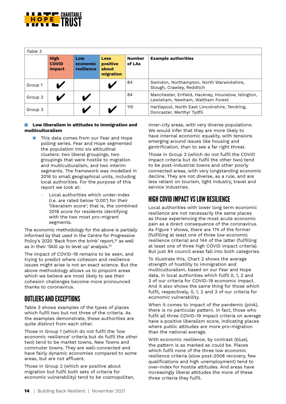

| Table 3 |                                       |                               |                                               |                         |                                                                                        |  |
|---------|---------------------------------------|-------------------------------|-----------------------------------------------|-------------------------|----------------------------------------------------------------------------------------|--|
|         | <b>High</b><br><b>COVID</b><br>impact | Low<br>economic<br>resilience | <b>Less</b><br>positive<br>about<br>migration | <b>Number</b><br>of LAs | <b>Example authorities</b>                                                             |  |
| Group 1 |                                       |                               |                                               | 84                      | Swindon, Northampton, North Warwickshire,<br>Slough, Crawley, Redditch                 |  |
| Group 2 |                                       |                               |                                               | 84                      | Manchester, Enfield, Hackney, Hounslow, Islington,<br>Lewisham, Newham, Waltham Forest |  |
| Group 3 |                                       |                               |                                               | 110                     | Hartlepool, North East Lincolnshire, Tendring,<br>Doncaster, Merthyr Tydfil            |  |

#### **Low liberalism in attitudes to immigration and multiculturalism**

- This data comes from our Fear and Hope polling series. Fear and Hope segmented the population into six attitudinal clusters: two liberal groupings, two groupings that were hostile to migration and multiculturalism, and two interim segments. The framework was modelled in 2016 to small geographical units, including local authorities. For the purpose of this report we look at:
	- Local authorities which under-index (i.e. are rated below '0.00') for their 'liberalism score'; that is, the combined 2018 score for residents identifying with the two most pro-migrant segments.

The economic methodology for the above is partially informed by that used in the Centre for Progressive Policy's 2020 'Back from the brink' report.<sup>22</sup> as well as in their 'Skill up to level up' analysis.23

The impact of COVID-19 remains to be seen, and trying to predict where cohesion and resilience issues might arise is not an exact science. But the above methodology allows us to pinpoint areas which we believe are most likely to see their cohesion challenges become more pronounced thanks to coronavirus.

#### OUTLIERS AND EXCEPTIONS

Table 3 shows examples of the types of places which fulfil two but not three of the criteria. As the examples demonstrate, these authorities are quite distinct from each other.

Those in Group 1 (which do not fulfil the 'low economic resilience' criteria but do fulfil the other two) tend to be market towns, New Towns and commuter towns. They are well-connected and have fairly dynamic economies compared to some areas, but are not affluent.

Those in Group 2 (which are positive about migration but fulfil both sets of criteria for economic vulnerability) tend to be cosmopolitan, inner-city areas, with very diverse populations. We would infer that they are more likely to have internal economic equality, with tensions emerging around issues like housing and gentrification, than to see a far right threat.

Those in Group 3 (which do not fulfil the COVID impact criteria but do fulfil the other two) tend to be post-industrial towns and other poorly connected areas, with very longstanding economic decline. They are not diverse, as a rule, and are less reliant on tourism, light industry, travel and service industries.

#### HIGH COVID IMPACT VS LOW RESILIENCE

Local authorities with lower long term economic resilience are not necessarily the same places as those experiencing the most acute economic pain as a direct consequence of the coronavirus. As Figure 1 shows, there are 174 of the former (fulfilling at least one of three low economic resilience criteria) and 144 of the latter (fulfilling at least one of three high COVID impact criteria). But just 84 council areas fall into both categories.

To illustrate this, Chart 2 shows the average strength of hostility to immigration and multiculturalism, based on our Fear and Hope data, in local authorities which fulfil 0, 1, 2 and 3 of our criteria for COVID-19 economic impact. And it also shows the same thing for those which fulfil, respectively, 0, 1, 2 and 3 of our criteria for economic vulnerability.

When it comes to impact of the pandemic (pink), there is no particular pattern. In fact, those who fulfil all three COVID-19 impact criteria on average have a positive liberalism score, indicating places where public attitudes are more pro-migration than the national average.

With economic resilience, by contrast (blue), the pattern is as marked as could be. Places which fulfil none of the three low economic resilience criteria (slow post-2008 recovery, few qualifications and high unemployment) tend to over-index for hostile attitudes. And areas have increasingly liberal attitudes the more of these three criteria they fulfil.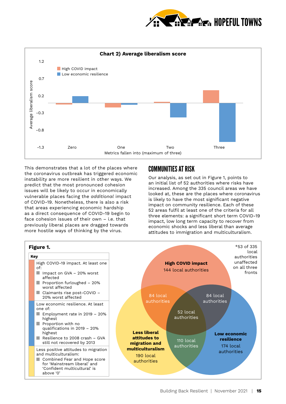



This demonstrates that a lot of the places where the coronavirus outbreak has triggered economic instability are more resilient in other ways. We predict that the most pronounced cohesion issues will be likely to occur in economically vulnerable places facing the *additional* impact of COVID-19. Nonetheless, there is also a risk that areas experiencing economic hardship as a direct consequence of COVID-19 begin to face cohesion issues of their own – i.e. that previously liberal places are dragged towards more hostile ways of thinking by the virus.

#### COMMUNITIES AT RISK

Our analysis, as set out in Figure 1, points to an initial list of 52 authorities where risks have increased. Among the 335 council areas we have looked at, these are the places where coronavirus is likely to have the most significant negative impact on community resilience. Each of these 52 areas fulfil at least one of the criteria for all three elements: a significant short term COVID-19 impact, low long term capacity to recover from economic shocks and less liberal than average attitudes to immigration and multiculturalism.

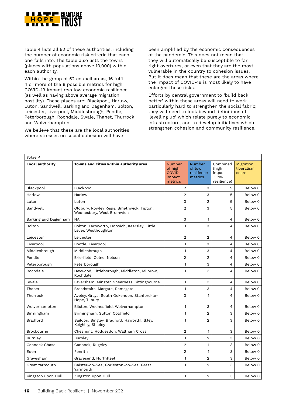

Table 4 lists all 52 of these authorities, including the number of economic risk criteria that each one falls into. The table also lists the towns (places with populations above 10,000) within each authority.

Within the group of 52 council areas, 16 fulfil 4 or more of the 6 possible metrics for high COVID-19 impact *and* low economic resilience (as well as having above average migration hostility). These places are: Blackpool, Harlow, Luton, Sandwell, Barking and Dagenham, Bolton, Leicester, Liverpool, Middlesbrough, Pendle, Peterborough, Rochdale, Swale, Thanet, Thurrock and Wolverhampton.

We believe that these are the local authorities where stresses on social cohesion will have

been amplified by the economic consequences of the pandemic. This does not mean that they will automatically be susceptible to far right overtures, or even that they are the most vulnerable in the country to cohesion issues. But it does mean that these are the areas where the impact of COVID-19 is most likely to have enlarged these risks.

Efforts by central government to 'build back better' within these areas will need to work particularly hard to strengthen the social fabric; they will need to look beyond definitions of 'levelling up' which relate purely to economic infrastructure, and to develop initiatives which strengthen cohesion and community resilience.

| Table 4                |                                                                        |                                                        |                                                  |                                                     |                                  |
|------------------------|------------------------------------------------------------------------|--------------------------------------------------------|--------------------------------------------------|-----------------------------------------------------|----------------------------------|
| <b>Local authority</b> | Towns and cities within authority area                                 | Number<br>of high<br><b>COVID</b><br>impact<br>metrics | <b>Number</b><br>of low<br>resilience<br>metrics | Combined<br>(high<br>impact<br>+ low<br>resilience) | Migration<br>liberalism<br>score |
| Blackpool              | Blackpool                                                              | $\overline{2}$                                         | 3                                                | 5                                                   | Below 0                          |
| Harlow                 | Harlow                                                                 | $\overline{2}$                                         | 3                                                | 5                                                   | Below 0                          |
| Luton                  | Luton                                                                  | 3                                                      | 2                                                | 5                                                   | Below 0                          |
| Sandwell               | Oldbury, Rowley Regis, Smethwick, Tipton,<br>Wednesbury, West Bromwich | $\overline{2}$                                         | 3                                                | 5                                                   | Below 0                          |
| Barking and Dagenham   | <b>NA</b>                                                              | 3                                                      | $\mathbf{1}$                                     | 4                                                   | Below 0                          |
| Bolton                 | Bolton, Farnworth, Horwich, Kearsley, Little<br>Lever, Westhoughton    | 1                                                      | 3                                                | 4                                                   | Below 0                          |
| Leicester              | Leicester                                                              | $\overline{2}$                                         | $\overline{2}$                                   | 4                                                   | Below 0                          |
| Liverpool              | Bootle, Liverpool                                                      | 1                                                      | 3                                                | 4                                                   | Below 0                          |
| Middlesbrough          | Middlesbrough                                                          | 1                                                      | 3                                                | 4                                                   | Below 0                          |
| Pendle                 | Brierfield, Colne, Nelson                                              | $\overline{2}$                                         | $\overline{2}$                                   | 4                                                   | Below 0                          |
| Peterborough           | Peterborough                                                           | 1                                                      | 3                                                | 4                                                   | Below 0                          |
| Rochdale               | Heywood, Littleborough, Middleton, Milnrow,<br>Rochdale                | 1                                                      | 3                                                | 4                                                   | Below 0                          |
| Swale                  | Faversham, Minster, Sheerness, Sittingbourne                           | 1                                                      | 3                                                | 4                                                   | Below 0                          |
| Thanet                 | Broadstairs, Margate, Ramsgate                                         | 1                                                      | 3                                                | 4                                                   | Below 0                          |
| Thurrock               | Aveley, Grays, South Ockendon, Stanford-le-<br>Hope, Tilbury           | 3                                                      | 1                                                | 4                                                   | Below 0                          |
| Wolverhampton          | Bilston, Wednesfield, Wolverhampton                                    | 1                                                      | 3                                                | 4                                                   | Below 0                          |
| Birmingham             | Birmingham, Sutton Coldfield                                           | $\mathbf{1}$                                           | $\overline{2}$                                   | 3                                                   | Below 0                          |
| <b>Bradford</b>        | Baildon, Bingley, Bradford, HaworthI, lkley,<br>Keighley, Shipley      | 1                                                      | $\overline{2}$                                   | 3                                                   | Below 0                          |
| Broxbourne             | Cheshunt, Hoddesdon, Waltham Cross                                     | $\overline{2}$                                         | 1                                                | 3                                                   | Below 0                          |
| <b>Burnley</b>         | Burnley                                                                | 1                                                      | $\overline{2}$                                   | 3                                                   | Below 0                          |
| Cannock Chase          | Cannock, Rugeley                                                       | $\overline{2}$                                         | 1                                                | 3                                                   | Below 0                          |
| Eden                   | Penrith                                                                | 2                                                      | $\mathbf{1}$                                     | 3                                                   | Below 0                          |
| Gravesham              | Gravesend, Northfleet                                                  | $\mathbf{1}$                                           | 2                                                | 3                                                   | Below 0                          |
| Great Yarmouth         | Caister-on-Sea, Gorleston-on-Sea, Great<br>Yarmouth                    | $\mathbf{1}$                                           | $\overline{2}$                                   | 3                                                   | Below 0                          |
| Kingston upon Hull     | Kingston upon Hull                                                     | 1                                                      | $\overline{2}$                                   | 3                                                   | Below 0                          |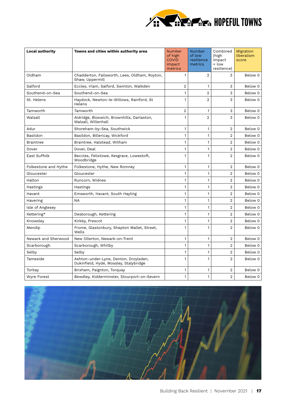

| <b>Local authority</b> | Towns and cities within authority area                                          | <b>Number</b><br>of high<br><b>COVID</b><br>impact<br>metrics | <b>Number</b><br>of low<br>resilience<br>metrics | Combined<br>(high<br>impact<br>+ low<br>resilience) | Migration<br>liberalism<br>score |
|------------------------|---------------------------------------------------------------------------------|---------------------------------------------------------------|--------------------------------------------------|-----------------------------------------------------|----------------------------------|
| Oldham                 | Chadderton, Failsworth, Lees, Oldham, Royton,<br>Shaw, Uppermill                | $\mathbf{1}$                                                  | $\overline{2}$                                   | 3                                                   | Below 0                          |
| Salford                | Eccles, Irlam, Salford, Swinton, Walkden                                        | $\overline{2}$                                                | 1                                                | 3                                                   | Below 0                          |
| Southend-on-Sea        | Southend-on-Sea                                                                 | 1                                                             | $\overline{2}$                                   | 3                                                   | Below 0                          |
| St. Helens             | Haydock, Newton-le-Willows, Rainford, St<br>Helens                              | 1                                                             | $\overline{2}$                                   | 3                                                   | Below 0                          |
| Tamworth               | Tamworth                                                                        | $\overline{2}$                                                | $\mathbf{1}$                                     | 3                                                   | Below 0                          |
| Walsall                | Aldridge, Bloxwich, Brownhills, Darlaston,<br>Walsall, Willenhall               | $\mathbf{1}$                                                  | 2                                                | 3                                                   | Below 0                          |
| Adur                   | Shoreham-by-Sea, Southwick                                                      | 1                                                             | 1                                                | 2                                                   | Below 0                          |
| Basildon               | Basildon, Billericay, Wickford                                                  | $\mathbf{1}$                                                  | $\mathbf{1}$                                     | $\overline{2}$                                      | Below 0                          |
| <b>Braintree</b>       | Braintree, Halstead, Witham                                                     | $\mathbf{1}$                                                  | $\mathbf{1}$                                     | $\overline{2}$                                      | Below 0                          |
| Dover                  | Dover, Deal                                                                     | $\mathbf{1}$                                                  | $\mathbf{1}$                                     | $\overline{2}$                                      | Below 0                          |
| East Suffolk           | Beccles, Felixtowe, Kesgrave, Lowestoft,<br>Woodbridge                          | 1                                                             | 1                                                | $\overline{2}$                                      | Below 0                          |
| Folkestone and Hythe   | Folkestone, Hythe, New Romney                                                   | $\mathbf{1}$                                                  | 1                                                | $\overline{2}$                                      | Below 0                          |
| Gloucester             | Gloucester                                                                      | $\mathbf{1}$                                                  | $\mathbf{1}$                                     | $\overline{2}$                                      | Below 0                          |
| Halton                 | Runcorn, Widnes                                                                 | $\mathbf{1}$                                                  | 1                                                | $\overline{2}$                                      | Below 0                          |
| Hastings               | Hastings                                                                        | 1                                                             | 1                                                | $\overline{2}$                                      | Below 0                          |
| Havant                 | Emsworth, Havant, South Hayling                                                 | 1                                                             | 1                                                | $\overline{2}$                                      | Below 0                          |
| Havering               | <b>NA</b>                                                                       | 1                                                             | 1                                                | $\overline{2}$                                      | Below 0                          |
| Isle of Anglesey       |                                                                                 | 1                                                             | 1                                                | $\overline{2}$                                      | Below 0                          |
| Kettering*             | Desborough, Kettering                                                           | $\mathbf{1}$                                                  | 1                                                | $\overline{2}$                                      | Below 0                          |
| Knowsley               | Kirkby, Prescot                                                                 | $\mathbf{1}$                                                  | $\mathbf{1}$                                     | $\overline{2}$                                      | Below 0                          |
| Mendip                 | Frome, Glastonbury, Shepton Mallet, Street,<br>Wells                            | $\mathbf{1}$                                                  | 1                                                | $\overline{2}$                                      | Below 0                          |
| Newark and Sherwood    | New Ollerton, Newark-on-Trent                                                   | $\mathbf{1}$                                                  | 1                                                | $\overline{2}$                                      | Below 0                          |
| Scarborough            | Scarborough, Whitby                                                             | $\mathbf{1}$                                                  | $\mathbf{1}$                                     | $\overline{2}$                                      | Below 0                          |
| Selby                  | Selby                                                                           | $\mathbf{1}$                                                  | 1                                                | $\overline{2}$                                      | Below 0                          |
| Tameside               | Ashton-under-Lyne, Denton, Droylsden,<br>Dukinfield, Hyde, Mossley, Stalybridge | $\mathbf{1}$                                                  | 1                                                | $\overline{2}$                                      | Below 0                          |
| Torbay                 | Brixham, Paignton, Torquay                                                      | 1                                                             | 1                                                | 2                                                   | Below 0                          |
| <b>Wyre Forest</b>     | Bewdley, Kidderminster, Stourport-on-Severn                                     | $\mathbf{1}$                                                  | 1                                                | $\overline{2}$                                      | Below 0                          |

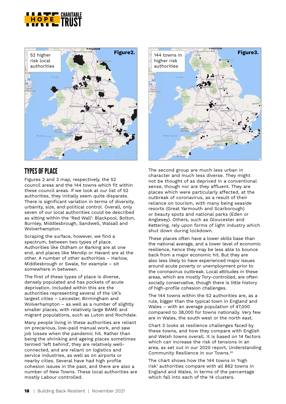



#### TYPES OF PLACE

Figures 2 and 3 map, respectively, the 52 council areas and the 144 towns which fit within these council areas. If we look at our list of 52 authorities, they initially seem quite disparate. There is significant variation in terms of diversity, urbanity, size, and political control. Overall, only seven of our local authorities could be described as sitting within the 'Red Wall': Blackpool, Bolton, Burnley, Middlesbrough, Sandwell, Walsall and Wolverhampton.

Scraping the surface, however, we find a spectrum, between two types of place. Authorities like Oldham or Barking are at one end, and places like Mendip or Havant are at the other. A number of other authorities – Harlow, Middlesbrough or Swale, for example – sit somewhere in between.

The first of these types of place is diverse, densely populated and has pockets of acute deprivation. Included within this are the authorities representing several of the UK's largest cities – Leicester, Birmingham and Wolverhampton – as well as a number of slightly smaller places, with relatively large BAME and migrant populations, such as Luton and Rochdale.

Many people living in these authorities are reliant on precarious, low-paid manual work, and saw job losses when the pandemic hit. Rather than being the shrinking and ageing places sometimes termed 'left behind', they are relatively wellconnected, and are reliant on logistics and service industries, as well as on airports or nearby cities. Several have had high profile cohesion issues in the past, and there are also a number of New Towns. These local authorities are mostly Labour controlled.



The second group are much less urban in character and much less diverse. They might not be thought of as deprived in a conventional sense, though nor are they affluent. They are places which were particularly affected, at the outbreak of coronavirus, as a result of their reliance on tourism, with many being seaside resorts (Great Yarmouth and Scarborough) or beauty spots and national parks (Eden or Anglesey). Others, such as Gloucester and Kettering, rely upon forms of light industry which shut down during lockdown.

These places often have a lower skills base than the national average, and a lower level of economic resilience, hence they may be less able to bounce back from a major economic hit. But they are also less likely to have experienced major issues around acute poverty or unemployment prior to the coronavirus outbreak. Local attitudes in these areas, which are mostly Tory-controlled, are often socially conservative, though there is little history of high-profile cohesion challenges.

The 144 towns within the 52 authorities are, as a rule, bigger than the typical town in England and Wales – with an average population of 47,000 compared to 38,000 for towns nationally. Very few are in Wales, the south west or the north east.

Chart 3 looks at resilience challenges faced by these towns, and how they compare with English and Welsh towns overall. It is based on 14 factors which can increase the risk of tensions in an area, as set out in our 2020 report, Understanding Community Resilience in our Towns.24

The chart shows how the 144 towns in 'high risk' authorities compare with all 862 towns in England and Wales, in terms of the percentage which fall into each of the 14 clusters.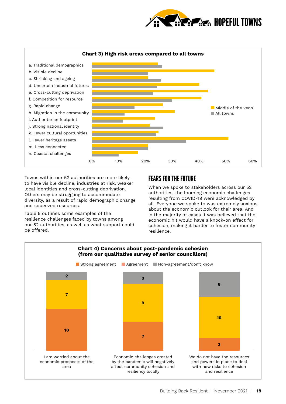



Towns within our 52 authorities are more likely to have visible decline, industries at risk, weaker local identities and cross-cutting deprivation. Others may be struggling to accommodate diversity, as a result of rapid demographic change and squeezed resources.

Table 5 outlines some examples of the resilience challenges faced by towns among our 52 authorities, as well as what support could be offered.

#### FEARS FOR THE FUTURE

When we spoke to stakeholders across our 52 authorities, the looming economic challenges resulting from COVID-19 were acknowledged by all. Everyone we spoke to was extremely anxious about the economic outlook for their area. And in the majority of cases it was believed that the economic hit would have a knock-on effect for cohesion, making it harder to foster community resilience.

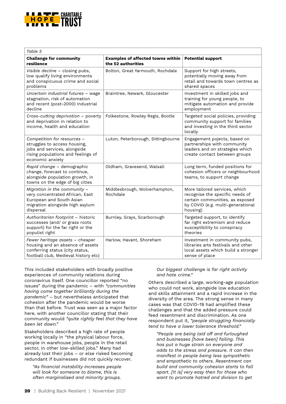

| Table 5                                                                                                                                               |                                                                |                                                                                                                                                      |  |  |  |
|-------------------------------------------------------------------------------------------------------------------------------------------------------|----------------------------------------------------------------|------------------------------------------------------------------------------------------------------------------------------------------------------|--|--|--|
| <b>Challenge for community</b><br>resilience                                                                                                          | <b>Examples of affected towns within</b><br>the 52 authorities | <b>Potential support</b>                                                                                                                             |  |  |  |
| Visible decline - closing pubs,<br>low qualify living environments<br>and conspicuous crime and social<br>problems                                    | Bolton, Great Yarmouth, Rochdale                               | Support for high streets,<br>potentially moving away from<br>retail and towards town centres as<br>shared spaces                                     |  |  |  |
| Uncertain industrial futures - wage<br>stagnation, risk of automation<br>and recent (post-2000) industrial<br>decline                                 | Braintree, Newark, Gloucester                                  | Investment in skilled jobs and<br>training for young people, to<br>mitigate automation and provide<br>employment                                     |  |  |  |
| Cross-cutting deprivation - poverty<br>and deprivation in relation to<br>income, health and education                                                 | Folkestone, Rowley Regis, Bootle                               | Targeted social policies, providing<br>community support for families<br>and investing in the third sector<br>locally                                |  |  |  |
| Competition for resources -<br>struggles to access housing,<br>jobs and services, alongside<br>rising populations and feelings of<br>economic anxiety | Luton, Peterborough, Sittingbourne                             | Engagement pojects, based on<br>partnerships with community<br>leaders and on strategies which<br>create contact between groups                      |  |  |  |
| Rapid change - demographic<br>change, forecast to continue,<br>alongside population growth, in<br>towns on the edge of big cities                     | Oldham, Gravesend, Walsall                                     | Long term, funded positions for<br>cohesion officers or neighbourhood<br>teams, to support change                                                    |  |  |  |
| Migration in the community -<br>very concentrated African, East<br>European and South Asian<br>migration alongside high asylum<br>dispersal           | Middlesbrough, Wolverhampton,<br>Rochdale                      | More tailored services, which<br>recognise the specific needs of<br>certain communities, as exposed<br>by COVID (e.g. multi-generational<br>housing) |  |  |  |
| Authoritarian footprint - historic<br>successes (and/ or grass roots<br>support) for the far right or the<br>populist right                           | Burnley, Grays, Scarborough                                    | Targeted support, to identify<br>far right extremism and reduce<br>susceptibility to conspiracy<br>theories                                          |  |  |  |
| Fewer heritage assets - cheaper<br>housing and an absence of assets<br>conferring status (city status,<br>football club, Medieval history etc)        | Harlow, Havant, Shoreham                                       | Investment in community pubs,<br>libraries arts festivals and other<br>local assets which build a stronger<br>sense of place                         |  |  |  |

This included stakeholders with broadly positive experiences of community relations during coronavirus itself. One councillor reported "no issues" during the pandemic – with *"communities having come together brilliantly during the pandemic"* – but nevertheless anticipated that cohesion after the pandemic would be worse than that before. Trust was seen as a major factor here, with another councillor stating that their community would *"quite rightly feel that they have been let down."*

Stakeholders described a high rate of people working locally in "the physical labour force, people in warehouse jobs, people in the retail sector, in other low-skilled jobs." Many had already lost their jobs – or else risked becoming redundant if businesses did not quickly recover.

*"As financial instability increases people will look for someone to blame, this is often marginalised and minority groups.* 

#### *Our biggest challenge is far right activity and hate crime."*

Others described a large, working-age population who could not work, alongside low education and skills attainment and a rapid increase in the diversity of the area. The strong sense in many cases was that COVID-19 had amplified these challenges and that the added pressure could feed resentment and discrimination. As one respondent put it, *"people struggling financially tend to have a lower tolerance threshold."*

*"People are being laid off and furloughed and businesses [have been] failing. This has put a huge strain on everyone and adds to the stress and pressure. It can then manifest in people being less sympathetic and empathetic to others. Resentment can build and community cohesion starts to fall apart. [It is] very easy then for those who want to promote hatred and division to get*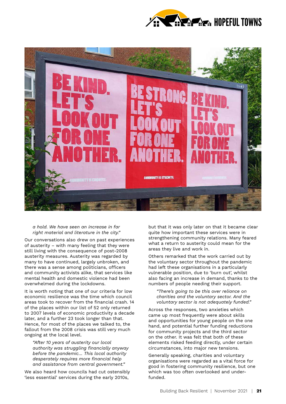



*a hold. We have seen an increase in far right material and literature in the city."* 

Our conversations also drew on past experiences of austerity – with many feeling that they were still living with the consequence of post-2008 austerity measures. Austerity was regarded by many to have continued, largely unbroken, and there was a sense among politicians, officers and community activists alike, that services like mental health and domestic violence had been overwhelmed during the lockdowns.

It is worth noting that one of our criteria for low economic resilience was the time which council areas took to recover from the financial crash. 14 of the places within our list of 52 only returned to 2007 levels of economic productivity a decade later, and a further 23 took longer than that. Hence, for most of the places we talked to, the fallout from the 2008 crisis was still very much ongoing at the local level.

*"After 10 years of austerity our local authority was struggling financially anyway before the pandemic… This local authority desperately requires more financial help and assistance from central government."*

We also heard how councils had cut ostensibly 'less essential' services during the early 2010s,

but that it was only later on that it became clear quite how important these services were in strengthening community relations. Many feared what a return to austerity could mean for the areas they live and work in.

Others remarked that the work carried out by the voluntary sector throughout the pandemic had left these organisations in a particularly vulnerable position, due to 'burn out', whilst also facing an increase in demand, thanks to the numbers of people needing their support.

*"There's going to be this over reliance on charities and the voluntary sector. And the voluntary sector is not adequately funded."* 

Across the responses, two anxieties which came up most frequently were about skills and opportunities for young people on the one hand, and potential further funding reductions for community projects and the third sector on the other. It was felt that both of these elements risked feeding directly, under certain circumstances, into major new tensions.

Generally speaking, charities and voluntary organisations were regarded as a vital force for good in fostering community resilience, but one which was too often overlooked and underfunded.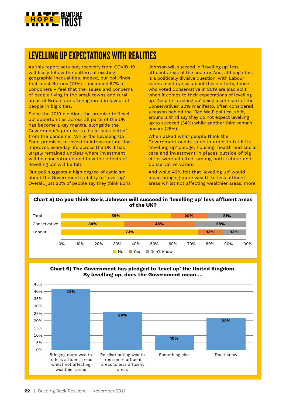

### LEVELLING UP EXPECTATIONS WITH REALITIES

As this report sets out, recovery from COVID-19 will likely follow the pattern of existing geographic inequalities. Indeed, our poll finds that most Britons (74%) – including 67% of Londoners – feel that the issues and concerns of people living in the small towns and rural areas of Britain are often ignored in favour of people in big cities.

Since the 2019 election, the promise to 'level up' opportunities across all parts of the UK has become a key mantra, alongside the Government's promise to 'build back better' from the pandemic. While the Levelling Up Fund promises to invest in infrastructure that improves everyday life across the UK it has largely remained unclear where investment will be concentrated and how the effects of 'levelling up' will be felt.

Our poll suggests a high degree of cynicism about the Government's ability to 'level up'. Overall, just 20% of people say they think Boris Johnson will succeed in 'levelling up' less affluent areas of the country. And, although this is a politically divisive question, with Labour voters most cynical about these efforts, those who voted Conservative in 2019 are also split when it comes to their expectations of levelling up. Despite 'levelling up' being a core part of the Conservatives' 2019 manifesto, often considered a reason behind the 'Red Wall' political shift, around a third say they do not expect levelling up to succeed (34%) while another third remain unsure (28%).

When asked what people think the Government needs to do in order to fulfil its 'levelling up' pledge, housing, health and social care and investment in places outside of big cities were all cited, among both Labour and Conservative voters.

And while 42% felt that 'levelling up' would mean bringing more wealth to less affluent areas whilst not affecting wealthier areas, more

#### **Chart 5) Do you think Boris Johnson will succeed in 'levelling up' less affluent areas of the UK?**





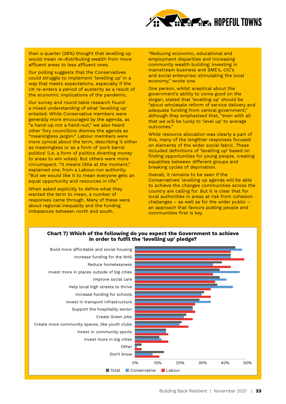

than a quarter (26%) thought that levelling up would mean re-distributing wealth from more affluent areas to less affluent ones.

Our polling suggests that the Conservatives could struggle to implement 'levelling up' in a way that meets expectations, especially if the UK re-enters a period of austerity as a result of the economic implications of the pandemic.

Our survey and round table research found a mixed understanding of what 'levelling up' entailed. While Conservative members were generally more encouraged by the agenda, as "a hand-up not a hand-out," we also heard other Tory councillors dismiss the agenda as "meaningless jargon." Labour members were more cynical about the term, describing it either as meaningless or as a form of 'pork barrel politics' (i.e. a form of politics diverting money to areas to win votes). But others were more circumspect. "It means little at the moment," explained one, from a Labour-run authority. "But we would like it to mean everyone gets an equal opportunity and resources in life."

When asked explicitly to define what they wanted the term to mean, a number of responses came through. Many of these were about regional inequality and the funding imbalances between north and south.

"Reducing economic, educational and employment disparities and increasing community wealth building; investing in mainstream business and SME's, CIC's and social enterprise; stimulating the local economy," wrote one.

One person, whilst sceptical about the government's ability to come good on the slogan, stated that 'levelling up' should be "about wholesale reform of service delivery and adequate funding from central government, although they emphasised that, "even with all that we will be lucky to 'level up' to average outcomes."

While resource allocation was clearly a part of this, many of the lengthier responses focused on elements of the wider social fabric. These included definitions of 'levelling up' based on finding opportunities for young people, creating equalities between different groups and breaking cycles of deprivation.

Overall, it remains to be seen if the Conservatives' levelling up agenda will be able to achieve the changes communities across the country are calling for. But it is clear that for local authorities in areas at risk from cohesion challenges  $-$  as well as for the wider public  $$ an approach that favours putting people and communities first is key.



#### **Chart 7) Which of the following do you expect the Government to achieve in order to fulfil the 'levelling up' pledge?**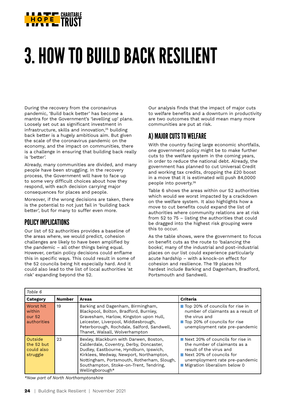

## 3. HOW TO BUILD BACK RESILIENT

During the recovery from the coronavirus pandemic, 'Build back better' has become a mantra for the Government's 'levelling up' plans. Loosely set out as significant investment in infrastructure, skills and innovation,<sup>25</sup> building back better is a hugely ambitious aim. But given the scale of the coronavirus pandemic on the economy, and the impact on communities, there is a challenge in ensuring that building back really is 'better'.

Already, many communities are divided, and many people have been struggling. In the recovery process, the Government will have to face up to some very difficult choices about how they respond, with each decision carrying major consequences for places and people.

Moreover, if the wrong decisions are taken, there is the potential to not just fail in 'building back better', but for many to suffer even more.

#### POLICY IMPLICATIONS

Our list of 52 authorities provides a baseline of the areas where, we would predict, cohesion challenges are likely to have been amplified by the pandemic – all other things being equal. However, certain policy decisions could enflame this in specific ways. This could result in some of the 52 councils being hit especially hard. And it could also lead to the list of local authorities 'at risk' expanding beyond the 52.

Our analysis finds that the impact of major cuts to welfare benefits and a downturn in productivity are two outcomes that would mean many more communities are put at risk.

#### A) MAJOR CUTS TO WELFARE

With the country facing large economic shortfalls, one government policy might be to make further cuts to the welfare system in the coming years, in order to reduce the national debt. Already, the government has planned to cut Universal Credit and working tax credits, dropping the £20 boost in a move that it is estimated will push 84,0000 people into poverty.26

Table 6 shows the areas within our 52 authorities which would we worst impacted by a crackdown on the welfare system. It also highlights how a move to cut benefits could expand the list of authorities where community relations are at risk from 52 to 75 – listing the authorities that could be dragged into the highest risk grouping were this to occur.

As the table shows, were the government to focus on benefit cuts as the route to 'balancing the books', many of the industrial and post-industrial places on our list could experience particularly acute hardship – with a knock-on effect for cohesion and resilience. The 19 places hit hardest include Barking and Dagenham, Bradford, Portsmouth and Sandwell.

| Table 6                                         |               |                                                                                                                                                                                                                                                                                   |                                                                                                                                                                                           |  |  |
|-------------------------------------------------|---------------|-----------------------------------------------------------------------------------------------------------------------------------------------------------------------------------------------------------------------------------------------------------------------------------|-------------------------------------------------------------------------------------------------------------------------------------------------------------------------------------------|--|--|
| <b>Category</b>                                 | <b>Number</b> | <b>Areas</b>                                                                                                                                                                                                                                                                      | Criteria                                                                                                                                                                                  |  |  |
| Worst hit<br>within<br>our 52<br>authorities    | 19            | Barking and Dagenham, Birmingham,<br>Blackpool, Bolton, Bradford, Burnley,<br>Gravesham, Harlow, Kingston upon Hull,<br>Leicester, Liverpool, Middlesbrough,<br>Peterborough, Rochdale, Salford, Sandwell,<br>Thanet, Walsall, Wolverhampton                                      | ■ Top 20% of councils for rise in<br>number of claimants as a result of<br>the virus and<br>■ Top 20% of councils for rise<br>unemployment rate pre-pandemic                              |  |  |
| Outside<br>the 52 but<br>could also<br>struggle | 23            | Bexley, Blackburn with Darwen, Boston,<br>Calderdale, Coventry, Derby, Doncaster,<br>Dudley, Eastbourne, Hyndburn, Ipswich,<br>Kirklees, Medway, Newport, Northampton,<br>Nottingham, Portsmouth, Rotherham, Slough,<br>Southampton, Stoke-on-Trent, Tendring,<br>Wellingborough* | Next 20% of councils for rise in<br>the number of claimants as a<br>result of the virus and<br>Next 20% of councils for<br>unemployment rate pre-pandemic<br>Migration liberalism below 0 |  |  |

*\*Now part of North Northamptonshire*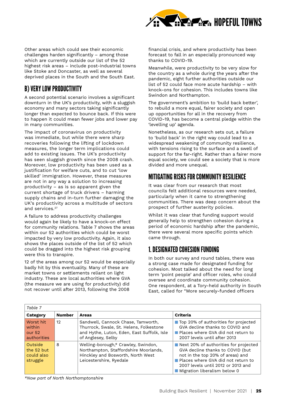

Other areas which could see their economic challenges harden significantly – among those which are currently outside our list of the 52 highest risk areas – include post-industrial towns like Stoke and Doncaster, as well as several deprived places in the South and the South East.

#### B) VERY LOW PRODUCTIVITY

A second potential scenario involves a significant downturn in the UK's productivity, with a sluggish economy and many sectors taking significantly longer than expected to bounce back. If this were to happen it could mean fewer jobs and lower pay in many communities.

The impact of coronavirus on productivity was immediate, but while there were sharp recoveries following the lifting of lockdown measures, the longer term implications could add to existing issues. The UK's productivity has seen sluggish growth since the 2008 crash. Moreover, low productivity has been used as a justification for welfare cuts, and to cut 'low skilled' immigration. However, these measures are not in any way a solution to increasing productivity – as is so apparent given the current shortage of truck drivers – harming supply chains and in-turn further damaging the UK's productivity across a multitude of sectors and services.<sup>27</sup>

A failure to address productivity challenges would again be likely to have a knock-on effect for community relations. Table 7 shows the areas within our 52 authorities which could be worst impacted by very low productivity. Again, it also shows the places outside of the list of 52 which could be dragged into the highest risk grouping were this to transpire.

12 of the areas among our 52 would be especially badly hit by this eventuality. Many of these are market towns or settlements reliant on light industry. These are local authorities where GVA (the measure we are using for productivity) did not recover until after 2013, following the 2008

financial crisis, and where productivity has been forecast to fall in an especially pronounced way thanks to COVID-19.

Meanwhile, were productivity to be very slow for the country as a whole during the years after the pandemic, eight further authorities outside our list of 52 could face more acute hardship – with knock-ons for cohesion. This includes towns like Swindon and Northampton.

The government's ambition to 'build back better', to rebuild a more equal, fairer society and open up opportunities for all in the recovery from COVID-19, has become a central pledge within the 'levelling up' agenda.

Nonetheless, as our research sets out, a failure to 'build back' in the right way could lead to a widespread weakening of community resilience, with tensions rising to the surface and a swell of support for the far-right. Rather than a fairer more equal society, we could see a society that is more divided and more unequal.

#### MITIGATING RISKS FOR COMMUNITY RESILIENCE

It was clear from our research that most councils felt additional resources were needed, particularly when it came to strengthening communities. There was deep concern about the prospect of further austerity policies.

Whilst it was clear that funding support would generally help to strengthen cohesion during a period of economic hardship after the pandemic, there were several more specific points which came through.

#### 1. DESIGNATED COHESION FUNDING

In both our survey and round tables, there was a strong case made for designated funding for cohesion. Most talked about the need for long term 'point people' and officer roles, who could oversee and coordinate community cohesion. One respondent, at a Tory-held authority in South East, called for "More securely-funded officers

| Table 7                                         |               |                                                                                                                                                   |                                                                                                                                                                                                                                          |  |  |  |
|-------------------------------------------------|---------------|---------------------------------------------------------------------------------------------------------------------------------------------------|------------------------------------------------------------------------------------------------------------------------------------------------------------------------------------------------------------------------------------------|--|--|--|
| <b>Category</b>                                 | <b>Number</b> | <b>Areas</b>                                                                                                                                      | Criteria                                                                                                                                                                                                                                 |  |  |  |
| Worst hit<br>within<br>our 52<br>authorities    | 12            | Sandwell, Cannock Chase, Tamworth,<br>Thurrock, Swale, St. Helens, Folkestone<br>and Hythe, Luton, Eden, East Suffolk, Isle<br>of Anglesey, Selby | ■ Top 20% of authorities for projected<br>GVA decline thanks to COVID and<br>Places where GVA did not return to<br>2007 levels until after 2013                                                                                          |  |  |  |
| Outside<br>the 52 but<br>could also<br>struggle | 8             | Welling-borough,* Crawley, Swindon,<br>Northampton, Staffordshire Moorlands,<br>Hinckley and Bosworth, North West<br>Leicestershire, Ryedale      | Next 20% of authorities for projected<br>GVA decline thanks to COVID (but<br>not in the top 20% of areas) and<br>Places where GVA did not return to<br>2007 levels until 2012 or 2013 and<br>$\blacksquare$ Migration liberalism below 0 |  |  |  |

*\*Now part of North Northamptonshire*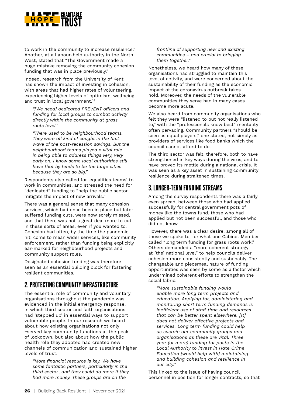

to work in the community to increase resilience." Another, at a Labour-held authority in the North West, stated that "The Government made a huge mistake removing the community cohesion funding that was in place previously."

Indeed, research from the University of Kent has shown the impact of investing in cohesion, with areas that had higher rates of volunteering, experiencing higher levels of optimism, wellbeing and trust in local government.<sup>28</sup>

*"[We need] dedicated PREVENT officers and funding for local groups to combat activity directly within the community at grass roots level."*

*"There used to be neighbourhood teams. They were all kind of caught in the first wave of the post-recession savings. But the neighbourhood teams played a vital role in being able to address things very, very early on. I know some local authorities still have that by tends to be the large cities because they are so big."*

Respondents also called for 'equalities teams' to work in communities, and stressed the need for "dedicated" funding to "help the public sector mitigate the impact of new arrivals."

There was a general sense that many cohesion services, which had once been in place but later suffered funding cuts, were now sorely missed, and that there was not a great deal more to cut in these sorts of areas, even if you wanted to. Cohesion had often, by the time the pandemic hit, come to mean wider services, like community enforcement, rather than funding being explicitly ear-marked for neighbourhood projects and community support roles.

Designated cohesion funding was therefore seen as an essential building block for fostering resilient communities.

#### 2. PROTECTING COMMUNITY INFRASTRUCTURE

The essential role of community and voluntary organisations throughout the pandemic was evidenced in the initial emergency response, in which third sector and faith organisations had 'stepped up' in essential ways to support vulnerable people. In our research we heard about how existing organisations not only ~served key community functions at the peak of lockdown, but also about how the public health role they adopted had created new channels of communication and sustained higher levels of trust.

*"More financial resource is key. We have some fantastic partners, particularly in the third sector…and they could do more if they had more money. These groups are on the* 

*frontline of supporting new and existing communities – and crucial to bringing them together."*

Nonetheless, we heard how many of these organisations had struggled to maintain this level of activity, and were concerned about the sustainability of their funding as the economic impact of the coronavirus outbreak takes hold. Moreover, the needs of the vulnerable communities they serve had in many cases become more acute.

We also heard from community organisations who felt they were "listened to but not really listened to," with the "professionals know best" mentality often pervading. Community partners "should be seen as equal players," one stated, not simply as providers of services like food banks which the council cannot afford to do.

The third sector was felt, therefore, both to have strengthened in key ways during the virus, and to have proved its mettle during a national crisis. It was seen as a key asset in sustaining community resilience during straitened times.

#### 3. LONGER-TERM FUNDING STREAMS

Among the survey respondents there was a fairly even spread, between those who had applied successfully for central government pots of money like the towns fund, those who had applied but not been successful, and those who did not know.

However, there was a clear desire, among all of those we spoke to, for what one Cabinet Member called "long term funding for grass roots work." Others demanded a "more coherent strategy at [the] national level" to help councils deliver cohesion more consistently and sustainably. The changeable and piecemeal nature of funding opportunities was seen by some as a factor which undermined coherent efforts to strengthen the social fabric.

*"More sustainable funding would enable more long term projects and education. Applying for, administering and monitoring short term funding demands is inefficient use of staff time and resources that can be better spent elsewhere. [It] does not deliver effective projects and services. Long term funding could help us sustain our community groups and organisations as these are vital. Three year (or more) funding for posts in the Local Authority to invest in Hate Crime Education [would help with] maintaining and building cohesion and resilience in our city."*

This linked to the issue of having council personnel in position for longer contracts, so that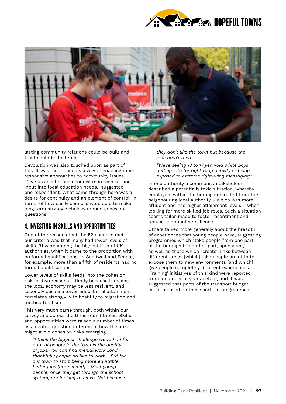



lasting community relations could be built and trust could be fostered.

Devolution was also touched upon as part of this. It was mentioned as a way of enabling more responsive approaches to community issues. "Give us as a borough council more control and input into local education needs," suggested one respondent. What came through here was a desire for continuity and an element of control, in terms of how easily councils were able to make long term strategic choices around cohesion questions.

#### 4. INVESTING IN SKILLS AND OPPORTUNITIES

One of the reasons that the 52 councils met our criteria was that many had lower levels of skills. 31 were among the highest fifth of UK authorities, when it came to the proportion with no formal qualifications. In Sandwell and Pendle, for example, more than a fifth of residents had no formal qualifications.

Lower levels of skills feeds into the cohesion risk for two reasons – firstly because it means the local economy may be less resilient, and secondly because lower educational attainment correlates strongly with hostility to migration and multiculturalism.

This very much came through, both within our survey and across the three round tables. Skills and opportunities were raised a number of times, as a central question in terms of how the area might avoid cohesion risks emerging.

*"I think the biggest challenge we've had for a lot of people in the town is the quality of jobs. You can find menial work…and thankfully people do like to work… But for our town to start being more equitable better jobs [are needed]… Most young people, once they get through the school system, are looking to leave. Not because* 

*they don't like the town but because the jobs aren't there."*

*"We're seeing 13 to 17 year-old white boys getting into for right wing activity or being exposed to extreme right-wing messaging."*

In one authority a community stakeholder described a potentially toxic situation, whereby employers within the borough recruited from the neighbouring local authority – which was more affluent and had higher attainment levels – when looking for more skilled job roles. Such a situation seems tailor-made to foster resentment and reduce community resilience.

Others talked more generally about the breadth of experiences that young people have, suggesting programmes which "take people from one part of the borough to another part, sponsored," as well as those which "create" links between different areas, [which] take people on a trip to expose them to new environments [and which] give people completely different experiences." 'Training' initiatives of this kind were reported from a number of years before, and it was suggested that parts of the transport budget could be used on these sorts of programmes.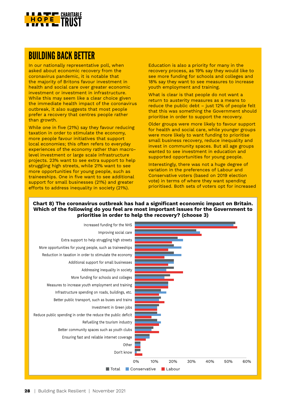

#### BUILDING BACK BETTER

In our nationally representative poll, when asked about economic recovery from the coronavirus pandemic, it is notable that the majority of Britons favour investment in health and social care over greater economic investment or investment in infrastructure. While this may seem like a clear choice given the immediate health impact of the coronavirus outbreak, it also suggests that most people prefer a recovery that centres people rather than growth.

While one in five (21%) say they favour reducing taxation in order to stimulate the economy, more people favour initiatives that support local economies; this often refers to everyday experiences of the economy rather than macrolevel investment or large scale infrastructure projects. 23% want to see extra support to help struggling high streets, while 21% want to see more opportunities for young people, such as traineeships. One in five want to see additional support for small businesses (21%) and greater efforts to address inequality in society (21%).

Education is also a priority for many in the recovery process, as 19% say they would like to see more funding for schools and colleges and 18% say they want to see measures to increase youth employment and training.

What is clear is that people do not want a return to austerity measures as a means to reduce the public debt – just 12% of people felt that this was something the Government should prioritise in order to support the recovery.

Older groups were more likely to favour support for health and social care, while younger groups were more likely to want funding to prioritise small business recovery, reduce inequality and invest in community spaces. But all age groups wanted to see investment in education and supported opportunities for young people.

Interestingly, there was not a huge degree of variation in the preferences of Labour and Conservative voters (based on 2019 election vote) in terms of where they want spending prioritised. Both sets of voters opt for increased

#### **Chart 8) The coronavirus outbreak has had a significant economic impact on Britain. Which of the following do you feel are most important issues for the Government to prioritise in order to help the recovery? (choose 3)**

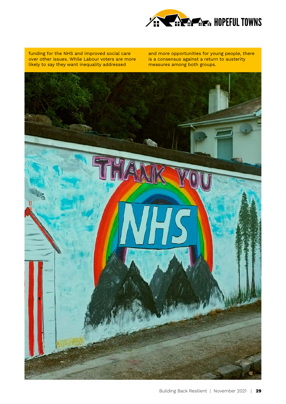

funding for the NHS and improved social care over other issues. While Labour voters are more likely to say they want inequality addressed

and more opportunities for young people, there is a consensus against a return to austerity measures among both groups.

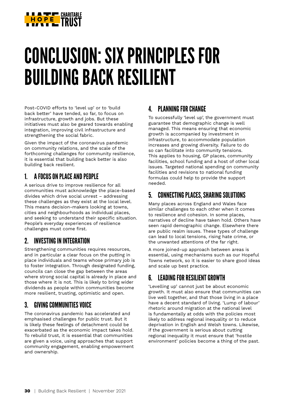

### CONCLUSION: SIX PRINCIPLES FOR BUILDING BACK RESILIENT

Post-COVID efforts to 'level up' or to 'build back better' have tended, so far, to focus on infrastructure, growth and jobs. But these initiatives must also be geared towards enabling integration, improving civil infrastructure and strengthening the social fabric.

Given the impact of the coronavirus pandemic on community relations, and the scale of the forthcoming challenges for community resilience, it is essential that building back better is also building back resilient.

#### 1. A FOCUS ON PLACE AND PEOPLE

A serious drive to improve resilience for all communities must acknowledge the place-based divides which drive social unrest – addressing these challenges as they exist at the local level. This means decision-makers looking at towns, cities and neighbourhoods as individual places, and seeking to understand their specific situation. People's everyday experiences of resilience challenges must come first.

#### 2. INVESTING IN INTEGRATION

Strengthening communities requires resources, and in particular a clear focus on the putting in place individuals and teams whose primary job is to foster integration. Through designated funding, councils can close the gap between the areas where strong social capital is already in place and those where it is not. This is likely to bring wider dividends as people within communities become more resilient, trusting, optimistic and open.

#### 3. GIVING COMMUNITIES VOICE

The coronavirus pandemic has accelerated and emphasised challenges for public trust. But it is likely these feelings of detachment could be exacerbated as the economic impact takes hold. To rebuild trust, it is essential that communities are given a voice, using approaches that support community engagement, enabling empowerment and ownership.

#### 4. PLANNING FOR CHANGE

To successfully 'level up', the government must guarantee that demographic change is well managed. This means ensuring that economic growth is accompanied by investment in infrastructure, to accommodate population increases and growing diversity. Failure to do so can facilitate into community tensions. This applies to housing, GP places, community facilities, school funding and a host of other local issues. Targeted national spending on community facilities and revisions to national funding formulas could help to provide the support needed.

#### 5. CONNECTING PLACES, SHARING SOLUTIONS

Many places across England and Wales face similar challenges to each other when it comes to resilience and cohesion. In some places, narratives of decline have taken hold. Others have seen rapid demographic change. Elsewhere there are public realm issues. These types of challenge can lead to local tensions, rising hate crime, or the unwanted attentions of the far right.

A more joined-up approach between areas is essential, using mechanisms such as our Hopeful Towns network, so it is easier to share good ideas and scale up best practice.

#### 6. LEADING FOR RESILIENT GROWTH

'Levelling up' cannot just be about economic growth. It must also ensure that communities can live well together, and that those living in a place have a decent standard of living. 'Lump of labour' rhetoric around migration at the national level is fundamentally at odds with the policies most likely to address regional inequality or to reduce deprivation in English and Welsh towns. Likewise, if the government is serious about cutting regional inequality it must ensure that 'hostile environment' policies become a thing of the past.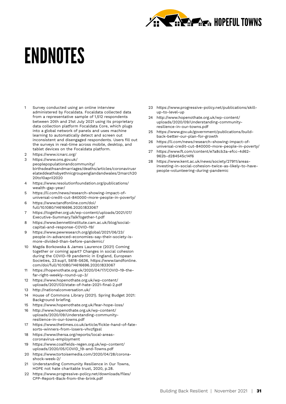

### ENDNOTES

- 1 Survey conducted using an online interview administered by Focaldata. Focaldata collected data from a representative sample of 1,512 respondents between 20th and 21st July 2021 using its proprietary data collection platform Focaldata Core, which plugs into a global network of panels and uses machine learning to automatically detect and screen out inconsistent and disengaged respondents. Users fill out the surveys in real-time across mobile, desktop, and tablet devices on the Focaldata platform.
- 2 <https://www.icnarc.org/>
- 3 [https://www.ons.gov.uk/](https://www.ons.gov.uk/peoplepopulationandcommunity/birthsdeathsandmarriages/deaths/articles/coronavirusrelateddeathsbyethnicgroupenglandandwales/2march2020to10april2020) [peoplepopulationandcommunity/](https://www.ons.gov.uk/peoplepopulationandcommunity/birthsdeathsandmarriages/deaths/articles/coronavirusrelateddeathsbyethnicgroupenglandandwales/2march2020to10april2020) [birthsdeathsandmarriages/deaths/articles/coronavirusr](https://www.ons.gov.uk/peoplepopulationandcommunity/birthsdeathsandmarriages/deaths/articles/coronavirusrelateddeathsbyethnicgroupenglandandwales/2march2020to10april2020) [elateddeathsbyethnicgroupenglandandwales/2march20](https://www.ons.gov.uk/peoplepopulationandcommunity/birthsdeathsandmarriages/deaths/articles/coronavirusrelateddeathsbyethnicgroupenglandandwales/2march2020to10april2020) [20to10april2020](https://www.ons.gov.uk/peoplepopulationandcommunity/birthsdeathsandmarriages/deaths/articles/coronavirusrelateddeathsbyethnicgroupenglandandwales/2march2020to10april2020)
- 4 [https://www.resolutionfoundation.org/publications/](https://www.resolutionfoundation.org/publications/wealth-gap-year/) [wealth-gap-year/](https://www.resolutionfoundation.org/publications/wealth-gap-year/)
- 5 [https://li.com/news/research-showing-impact-of](https://li.com/news/research-showing-impact-of-universal-credit-cut-840000-more-people-in-poverty/)[universal-credit-cut-840000-more-people-in-poverty/](https://li.com/news/research-showing-impact-of-universal-credit-cut-840000-more-people-in-poverty/)
- 6 [https://www.tandfonline.com/doi/](https://www.tandfonline.com/doi/full/10.1080/14616696.2020.1833067) [full/10.1080/14616696.2020.1833067](https://www.tandfonline.com/doi/full/10.1080/14616696.2020.1833067)
- 7 [https://together.org.uk/wp-content/uploads/2021/07/](https://together.org.uk/wp-content/uploads/2021/07/Executive-Summary.TalkTogether-1.pdf) [Executive-Summary.TalkTogether-1.pdf](https://together.org.uk/wp-content/uploads/2021/07/Executive-Summary.TalkTogether-1.pdf)
- 8 [https://www.bennettinstitute.cam.ac.uk/blog/social](https://www.bennettinstitute.cam.ac.uk/blog/social-capital-and-response-covid-19/)[capital-and-response-COVID-19/](https://www.bennettinstitute.cam.ac.uk/blog/social-capital-and-response-covid-19/)
- 9 [https://www.pewresearch.org/global/2021/06/23/](https://www.pewresearch.org/global/2021/06/23/people-in-advanced-economies-say-their-society-is-more-divided-than-before-pandemic/) [people-in-advanced-economies-say-their-society-is](https://www.pewresearch.org/global/2021/06/23/people-in-advanced-economies-say-their-society-is-more-divided-than-before-pandemic/)[more-divided-than-before-pandemic/](https://www.pewresearch.org/global/2021/06/23/people-in-advanced-economies-say-their-society-is-more-divided-than-before-pandemic/)
- 10 Magda Borkowska & James Laurence (2021) Coming together or coming apart? Changes in social cohesion during the COVID-19 pandemic in England, European Societies, 23:sup1, S618-S636, [https://www.tandfonline.](https://www.tandfonline.com/doi/full/10.1080/14616696.2020.1833067) [com/doi/full/10.1080/14616696.2020.1833067](https://www.tandfonline.com/doi/full/10.1080/14616696.2020.1833067)
- 11 [https://hopenothate.org.uk/2020/04/17/COVID-19-the](https://hopenothate.org.uk/2020/04/17/covid-19-the-far-right-weekly-round-up-3/)[far-right-weekly-round-up-3/](https://hopenothate.org.uk/2020/04/17/covid-19-the-far-right-weekly-round-up-3/)
- 12 https://www.hopenothate.org.uk/wp-content/ uploads/2021/03/state-of-hate-2021-final-2.pdf
- 13 http://nationalconversation.uk/
- 14 House of Commons Library (2021)[. Spring Budget 2021:](https://post.parliament.uk/economic-inequality-and-recovery/%20https:/commonslibrary.parliament.uk/research-briefings/cbp-9136/%20)  [Background briefing.](https://post.parliament.uk/economic-inequality-and-recovery/%20https:/commonslibrary.parliament.uk/research-briefings/cbp-9136/%20)
- 15 <https://www.hopenothate.org.uk/fear-hope-loss/>
- 16 [http://www.hopenothate.org.uk/wp-content/](http://www.hopenothate.org.uk/wp-content/uploads/2020/09/Understanding-community-resilience-in-our-towns.pdf) [uploads/2020/09/Understanding-community](http://www.hopenothate.org.uk/wp-content/uploads/2020/09/Understanding-community-resilience-in-our-towns.pdf)[resilience-in-our-towns.pdf](http://www.hopenothate.org.uk/wp-content/uploads/2020/09/Understanding-community-resilience-in-our-towns.pdf)
- 17 https://www.thetimes.co.uk/article/fickle-hand-of-fatesorts-winners-from-losers-vhvzfgssl
- 18 https://www.thersa.org/reports/local-areascoronavirus-employment
- 19 https://www.coalfields-regen.org.uk/wp-content/ uploads/2020/05/COVID\_19-and-Towns.pdf
- 20 https://www.tortoisemedia.com/2020/04/28/coronashock-week-2/
- 21 [Understanding Community Resilience in Our Towns,](http://www.hopenothate.org.uk/wp-content/uploads/2020/09/Understanding-community-resilience-in-our-towns.pdf) HOPE not hate charitable trust, 2020, p.28.
- 22 [https://www.progressive-policy.net/downloads/files/](https://www.progressive-policy.net/downloads/files/CPP-Report-Back-from-the-brink.pdf) [CPP-Report-Back-from-the-brink.pdf](https://www.progressive-policy.net/downloads/files/CPP-Report-Back-from-the-brink.pdf)
- 23 https://www.progressive-policy.net/publications/skillup-to-level-up
- 24 http://www.hopenothate.org.uk/wp-content/ uploads/2020/09/Understanding-communityresilience-in-our-towns.pdf
- 25 [https://www.gov.uk/government/publications/build](https://www.gov.uk/government/publications/build-back-better-our-plan-for-growth)[back-better-our-plan-for-growth](https://www.gov.uk/government/publications/build-back-better-our-plan-for-growth)
- 26 [https://li.com/news/research-showing-impact-of](https://li.com/news/research-showing-impact-of-universal-credit-cut-840000-more-people-in-poverty/)[universal-credit-cut-840000-more-people-in-poverty/](https://li.com/news/research-showing-impact-of-universal-credit-cut-840000-more-people-in-poverty/)
- 27 https://www.ft.com/content/e7a8cb3a-efcc-4d62- 962b-d284545c14f6
- 28 [https://www.kent.ac.uk/news/society/27911/areas](https://www.kent.ac.uk/news/society/27911/areas-investing-in-social-cohesion-twice-as-likely-to-have-people-volunteering-during-pandemic)[investing-in-social-cohesion-twice-as-likely-to-have](https://www.kent.ac.uk/news/society/27911/areas-investing-in-social-cohesion-twice-as-likely-to-have-people-volunteering-during-pandemic)[people-volunteering-during-pandemic](https://www.kent.ac.uk/news/society/27911/areas-investing-in-social-cohesion-twice-as-likely-to-have-people-volunteering-during-pandemic)